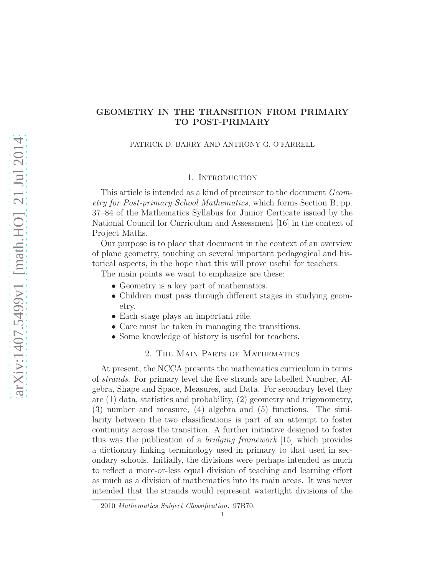# GEOMETRY IN THE TRANSITION FROM PRIMARY TO POST-PRIMARY

PATRICK D. BARRY AND ANTHONY G. O'FARRELL

#### 1. INTRODUCTION

This article is intended as a kind of precursor to the document Geometry for Post-primary School Mathematics, which forms Section B, pp. 37–84 of the Mathematics Syllabus for Junior Certicate issued by the National Council for Curriculum and Assessment [16] in the context of Project Maths.

Our purpose is to place that document in the context of an overview of plane geometry, touching on several important pedagogical and historical aspects, in the hope that this will prove useful for teachers.

The main points we want to emphasize are these:

- Geometry is a key part of mathematics.
- Children must pass through different stages in studying geometry.
- Each stage plays an important rôle.
- Care must be taken in managing the transitions.
- Some knowledge of history is useful for teachers.

## 2. The Main Parts of Mathematics

At present, the NCCA presents the mathematics curriculum in terms of strands. For primary level the five strands are labelled Number, Algebra, Shape and Space, Measures, and Data. For secondary level they are (1) data, statistics and probability, (2) geometry and trigonometry, (3) number and measure, (4) algebra and (5) functions. The similarity between the two classifications is part of an attempt to foster continuity across the transition. A further initiative designed to foster this was the publication of a bridging framework [15] which provides a dictionary linking terminology used in primary to that used in secondary schools. Initially, the divisions were perhaps intended as much to reflect a more-or-less equal division of teaching and learning effort as much as a division of mathematics into its main areas. It was never intended that the strands would represent watertight divisions of the

<sup>2010</sup> Mathematics Subject Classification. 97B70.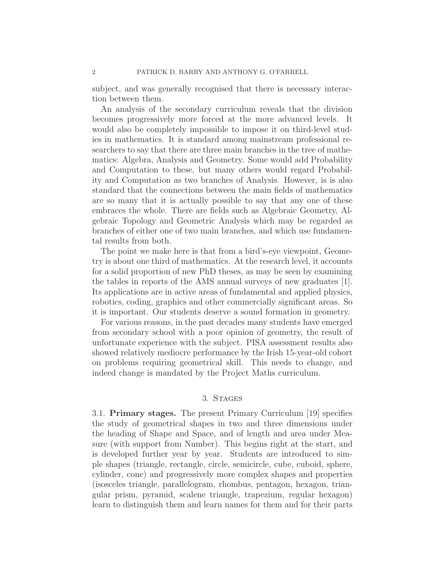subject, and was generally recognised that there is necessary interaction between them.

An analysis of the secondary curriculum reveals that the division becomes progressively more forced at the more advanced levels. It would also be completely impossible to impose it on third-level studies in mathematics. It is standard among mainstream professional researchers to say that there are three main branches in the tree of mathematics: Algebra, Analysis and Geometry. Some would add Probability and Computation to these, but many others would regard Probability and Computation as two branches of Analysis. However, is is also standard that the connections between the main fields of mathematics are so many that it is actually possible to say that any one of these embraces the whole. There are fields such as Algebraic Geometry, Algebraic Topology and Geometric Analysis which may be regarded as branches of either one of two main branches, and which use fundamental results from both.

The point we make here is that from a bird's-eye viewpoint, Geometry is about one third of mathematics. At the research level, it accounts for a solid proportion of new PhD theses, as may be seen by examining the tables in reports of the AMS annual surveys of new graduates [1]. Its applications are in active areas of fundamental and applied physics, robotics, coding, graphics and other commercially significant areas. So it is important. Our students deserve a sound formation in geometry.

For various reasons, in the past decades many students have emerged from secondary school with a poor opinion of geometry, the result of unfortunate experience with the subject. PISA assessment results also showed relatively mediocre performance by the Irish 15-year-old cohort on problems requiring geometrical skill. This needs to change, and indeed change is mandated by the Project Maths curriculum.

### 3. Stages

3.1. Primary stages. The present Primary Curriculum [19] specifies the study of geometrical shapes in two and three dimensions under the heading of Shape and Space, and of length and area under Measure (with support from Number). This begins right at the start, and is developed further year by year. Students are introduced to simple shapes (triangle, rectangle, circle, semicircle, cube, cuboid, sphere, cylinder, cone) and progressively more complex shapes and properties (isosceles triangle, parallelogram, rhombus, pentagon, hexagon, triangular prism, pyramid, scalene triangle, trapezium, regular hexagon) learn to distinguish them and learn names for them and for their parts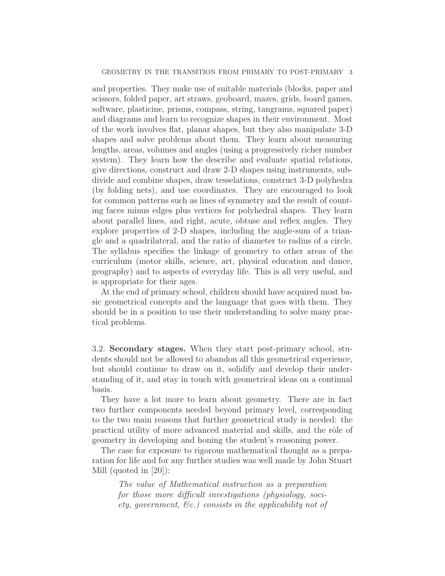and properties. They make use of suitable materials (blocks, paper and scissors, folded paper, art straws, geoboard, mazes, grids, board games, software, plasticine, prisms, compass, string, tangrams, squared paper) and diagrams and learn to recognize shapes in their environment. Most of the work involves flat, planar shapes, but they also manipulate 3-D shapes and solve problems about them. They learn about measuring lengths, areas, volumes and angles (using a progressively richer number system). They learn how the describe and evaluate spatial relations, give directions, construct and draw 2-D shapes using instruments, subdivide and combine shapes, draw tesselations, construct 3-D polyhedra (by folding nets), and use coordinates. They are encouraged to look for common patterns such as lines of symmetry and the result of counting faces minus edges plus vertices for polyhedral shapes. They learn about parallel lines, and right, acute, obtuse and reflex angles. They explore properties of 2-D shapes, including the angle-sum of a triangle and a quadrilateral, and the ratio of diameter to radius of a circle. The syllabus specifies the linkage of geometry to other areas of the curriculum (motor skills, science, art, physical education and dance, geography) and to aspects of everyday life. This is all very useful, and is appropriate for their ages.

At the end of primary school, children should have acquired most basic geometrical concepts and the language that goes with them. They should be in a position to use their understanding to solve many practical problems.

3.2. Secondary stages. When they start post-primary school, students should not be allowed to abandon all this geometrical experience, but should continue to draw on it, solidify and develop their understanding of it, and stay in touch with geometrical ideas on a continual basis.

They have a lot more to learn about geometry. There are in fact two further components needed beyond primary level, corresponding to the two main reasons that further geometrical study is needed: the practical utility of more advanced material and skills, and the rôle of geometry in developing and honing the student's reasoning power.

The case for exposure to rigorous mathematical thought as a preparation for life and for any further studies was well made by John Stuart Mill (quoted in [20]):

The value of Mathematical instruction as a preparation for those more difficult investigations (physiology, society, government,  $\mathcal{C}_c$ ) consists in the applicability not of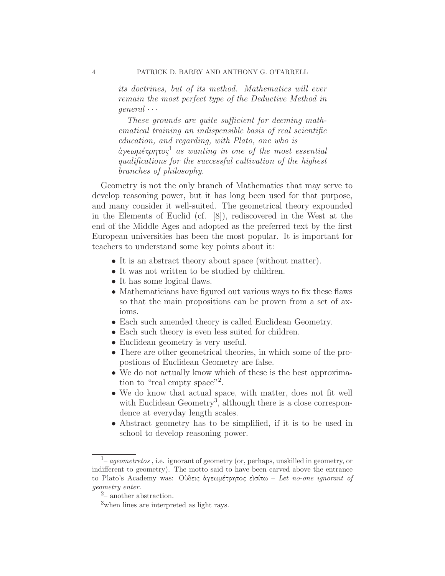its doctrines, but of its method. Mathematics will ever remain the most perfect type of the Deductive Method in  $general \cdots$ 

These grounds are quite sufficient for deeming mathematical training an indispensible basis of real scientific education, and regarding, with Plato, one who is  $\partial \alpha$ αγεωμέτρητος<sup>1</sup> as wanting in one of the most essential qualifications for the successful cultivation of the highest branches of philosophy.

Geometry is not the only branch of Mathematics that may serve to develop reasoning power, but it has long been used for that purpose, and many consider it well-suited. The geometrical theory expounded in the Elements of Euclid (cf. [8]), rediscovered in the West at the end of the Middle Ages and adopted as the preferred text by the first European universities has been the most popular. It is important for teachers to understand some key points about it:

- It is an abstract theory about space (without matter).
- It was not written to be studied by children.
- It has some logical flaws.
- Mathematicians have figured out various ways to fix these flaws so that the main propositions can be proven from a set of axioms.
- Each such amended theory is called Euclidean Geometry.
- Each such theory is even less suited for children.
- Euclidean geometry is very useful.
- There are other geometrical theories, in which some of the propostions of Euclidean Geometry are false.
- We do not actually know which of these is the best approximation to "real empty space"<sup>2</sup>.
- We do know that actual space, with matter, does not fit well with Euclidean Geometry<sup>3</sup>, although there is a close correspondence at everyday length scales.
- Abstract geometry has to be simplified, if it is to be used in school to develop reasoning power.

<sup>&</sup>lt;sup>1</sup> – ageometretos, i.e. ignorant of geometry (or, perhaps, unskilled in geometry, or indifferent to geometry). The motto said to have been carved above the entrance to Plato's Academy was: Οὺδεις ὰγεωμέτρητος εὶσίτω – Let no-one ignorant of geometry enter.

 $2$ – another abstraction.

<sup>3</sup>when lines are interpreted as light rays.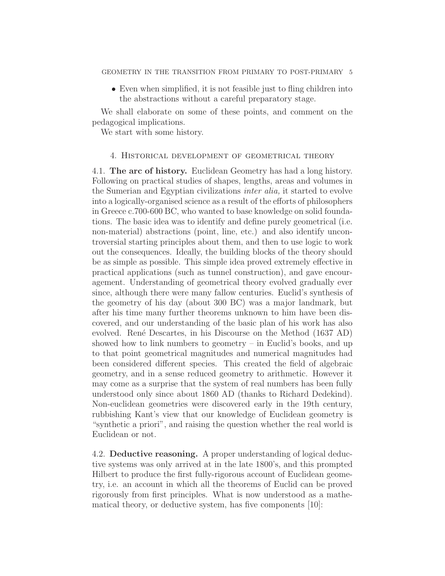• Even when simplified, it is not feasible just to fling children into the abstractions without a careful preparatory stage.

We shall elaborate on some of these points, and comment on the pedagogical implications.

We start with some history.

### 4. Historical development of geometrical theory

4.1. The arc of history. Euclidean Geometry has had a long history. Following on practical studies of shapes, lengths, areas and volumes in the Sumerian and Egyptian civilizations inter alia, it started to evolve into a logically-organised science as a result of the efforts of philosophers in Greece c.700-600 BC, who wanted to base knowledge on solid foundations. The basic idea was to identify and define purely geometrical (i.e. non-material) abstractions (point, line, etc.) and also identify uncontroversial starting principles about them, and then to use logic to work out the consequences. Ideally, the building blocks of the theory should be as simple as possible. This simple idea proved extremely effective in practical applications (such as tunnel construction), and gave encouragement. Understanding of geometrical theory evolved gradually ever since, although there were many fallow centuries. Euclid's synthesis of the geometry of his day (about 300 BC) was a major landmark, but after his time many further theorems unknown to him have been discovered, and our understanding of the basic plan of his work has also evolved. Ren´e Descartes, in his Discourse on the Method (1637 AD) showed how to link numbers to geometry – in Euclid's books, and up to that point geometrical magnitudes and numerical magnitudes had been considered different species. This created the field of algebraic geometry, and in a sense reduced geometry to arithmetic. However it may come as a surprise that the system of real numbers has been fully understood only since about 1860 AD (thanks to Richard Dedekind). Non-euclidean geometries were discovered early in the 19th century, rubbishing Kant's view that our knowledge of Euclidean geometry is "synthetic a priori", and raising the question whether the real world is Euclidean or not.

4.2. Deductive reasoning. A proper understanding of logical deductive systems was only arrived at in the late 1800's, and this prompted Hilbert to produce the first fully-rigorous account of Euclidean geometry, i.e. an account in which all the theorems of Euclid can be proved rigorously from first principles. What is now understood as a mathematical theory, or deductive system, has five components [10]: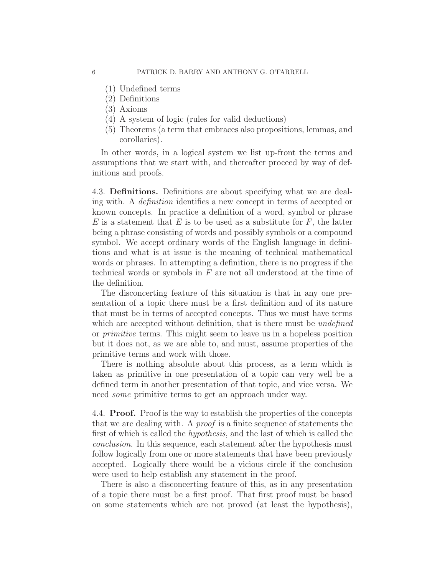- (1) Undefined terms
- (2) Definitions
- (3) Axioms
- (4) A system of logic (rules for valid deductions)
- (5) Theorems (a term that embraces also propositions, lemmas, and corollaries).

In other words, in a logical system we list up-front the terms and assumptions that we start with, and thereafter proceed by way of definitions and proofs.

4.3. Definitions. Definitions are about specifying what we are dealing with. A definition identifies a new concept in terms of accepted or known concepts. In practice a definition of a word, symbol or phrase  $E$  is a statement that  $E$  is to be used as a substitute for  $F$ , the latter being a phrase consisting of words and possibly symbols or a compound symbol. We accept ordinary words of the English language in definitions and what is at issue is the meaning of technical mathematical words or phrases. In attempting a definition, there is no progress if the technical words or symbols in  $F$  are not all understood at the time of the definition.

The disconcerting feature of this situation is that in any one presentation of a topic there must be a first definition and of its nature that must be in terms of accepted concepts. Thus we must have terms which are accepted without definition, that is there must be *undefined* or primitive terms. This might seem to leave us in a hopeless position but it does not, as we are able to, and must, assume properties of the primitive terms and work with those.

There is nothing absolute about this process, as a term which is taken as primitive in one presentation of a topic can very well be a defined term in another presentation of that topic, and vice versa. We need some primitive terms to get an approach under way.

4.4. Proof. Proof is the way to establish the properties of the concepts that we are dealing with. A proof is a finite sequence of statements the first of which is called the hypothesis, and the last of which is called the conclusion. In this sequence, each statement after the hypothesis must follow logically from one or more statements that have been previously accepted. Logically there would be a vicious circle if the conclusion were used to help establish any statement in the proof.

There is also a disconcerting feature of this, as in any presentation of a topic there must be a first proof. That first proof must be based on some statements which are not proved (at least the hypothesis),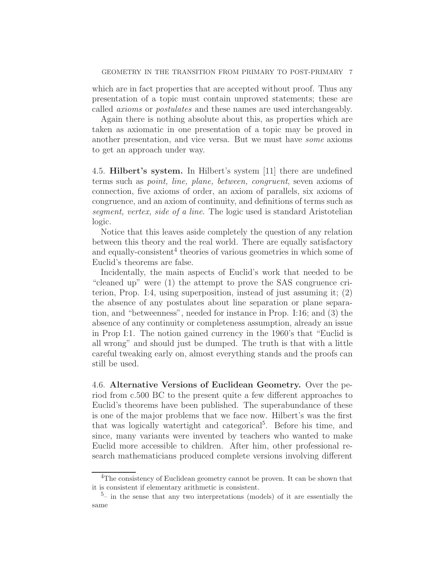which are in fact properties that are accepted without proof. Thus any presentation of a topic must contain unproved statements; these are called axioms or postulates and these names are used interchangeably.

Again there is nothing absolute about this, as properties which are taken as axiomatic in one presentation of a topic may be proved in another presentation, and vice versa. But we must have some axioms to get an approach under way.

4.5. Hilbert's system. In Hilbert's system [11] there are undefined terms such as point, line, plane, between, congruent, seven axioms of connection, five axioms of order, an axiom of parallels, six axioms of congruence, and an axiom of continuity, and definitions of terms such as segment, vertex, side of a line. The logic used is standard Aristotelian logic.

Notice that this leaves aside completely the question of any relation between this theory and the real world. There are equally satisfactory and equally-consistent<sup>4</sup> theories of various geometries in which some of Euclid's theorems are false.

Incidentally, the main aspects of Euclid's work that needed to be "cleaned up" were (1) the attempt to prove the SAS congruence criterion, Prop. I:4, using superposition, instead of just assuming it; (2) the absence of any postulates about line separation or plane separation, and "betweenness", needed for instance in Prop. I:16; and (3) the absence of any continuity or completeness assumption, already an issue in Prop I:1. The notion gained currency in the 1960's that "Euclid is all wrong" and should just be dumped. The truth is that with a little careful tweaking early on, almost everything stands and the proofs can still be used.

4.6. Alternative Versions of Euclidean Geometry. Over the period from c.500 BC to the present quite a few different approaches to Euclid's theorems have been published. The superabundance of these is one of the major problems that we face now. Hilbert's was the first that was logically watertight and categorical<sup>5</sup>. Before his time, and since, many variants were invented by teachers who wanted to make Euclid more accessible to children. After him, other professional research mathematicians produced complete versions involving different

<sup>&</sup>lt;sup>4</sup>The consistency of Euclidean geometry cannot be proven. It can be shown that it is consistent if elementary arithmetic is consistent.

 $5-$  in the sense that any two interpretations (models) of it are essentially the same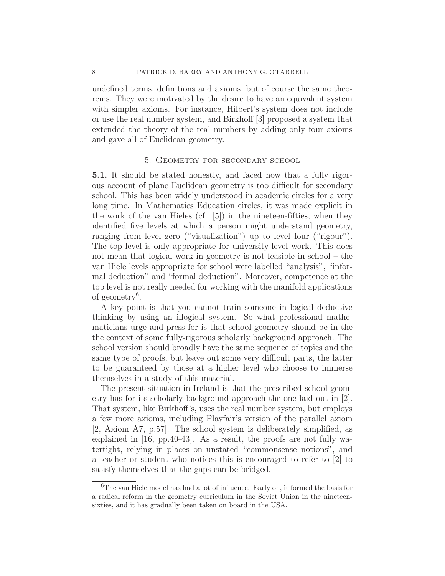undefined terms, definitions and axioms, but of course the same theorems. They were motivated by the desire to have an equivalent system with simpler axioms. For instance, Hilbert's system does not include or use the real number system, and Birkhoff [3] proposed a system that extended the theory of the real numbers by adding only four axioms and gave all of Euclidean geometry.

#### 5. Geometry for secondary school

5.1. It should be stated honestly, and faced now that a fully rigorous account of plane Euclidean geometry is too difficult for secondary school. This has been widely understood in academic circles for a very long time. In Mathematics Education circles, it was made explicit in the work of the van Hieles (cf. [5]) in the nineteen-fifties, when they identified five levels at which a person might understand geometry, ranging from level zero ("visualization") up to level four ("rigour"). The top level is only appropriate for university-level work. This does not mean that logical work in geometry is not feasible in school – the van Hiele levels appropriate for school were labelled "analysis", "informal deduction" and "formal deduction". Moreover, competence at the top level is not really needed for working with the manifold applications of geometry<sup>6</sup> .

A key point is that you cannot train someone in logical deductive thinking by using an illogical system. So what professional mathematicians urge and press for is that school geometry should be in the the context of some fully-rigorous scholarly background approach. The school version should broadly have the same sequence of topics and the same type of proofs, but leave out some very difficult parts, the latter to be guaranteed by those at a higher level who choose to immerse themselves in a study of this material.

The present situation in Ireland is that the prescribed school geometry has for its scholarly background approach the one laid out in [2]. That system, like Birkhoff's, uses the real number system, but employs a few more axioms, including Playfair's version of the parallel axiom [2, Axiom A7, p.57]. The school system is deliberately simplified, as explained in [16, pp.40-43]. As a result, the proofs are not fully watertight, relying in places on unstated "commonsense notions", and a teacher or student who notices this is encouraged to refer to [2] to satisfy themselves that the gaps can be bridged.

 ${}^{6}$  The van Hiele model has had a lot of influence. Early on, it formed the basis for a radical reform in the geometry curriculum in the Soviet Union in the nineteensixties, and it has gradually been taken on board in the USA.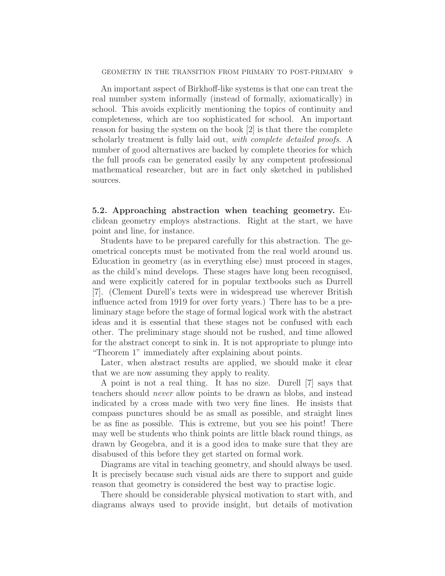An important aspect of Birkhoff-like systems is that one can treat the real number system informally (instead of formally, axiomatically) in school. This avoids explicitly mentioning the topics of continuity and completeness, which are too sophisticated for school. An important reason for basing the system on the book [2] is that there the complete scholarly treatment is fully laid out, with complete detailed proofs. A number of good alternatives are backed by complete theories for which the full proofs can be generated easily by any competent professional mathematical researcher, but are in fact only sketched in published sources.

5.2. Approaching abstraction when teaching geometry. Euclidean geometry employs abstractions. Right at the start, we have point and line, for instance.

Students have to be prepared carefully for this abstraction. The geometrical concepts must be motivated from the real world around us. Education in geometry (as in everything else) must proceed in stages, as the child's mind develops. These stages have long been recognised, and were explicitly catered for in popular textbooks such as Durrell [7]. (Clement Durell's texts were in widespread use wherever British influence acted from 1919 for over forty years.) There has to be a preliminary stage before the stage of formal logical work with the abstract ideas and it is essential that these stages not be confused with each other. The preliminary stage should not be rushed, and time allowed for the abstract concept to sink in. It is not appropriate to plunge into "Theorem 1" immediately after explaining about points.

Later, when abstract results are applied, we should make it clear that we are now assuming they apply to reality.

A point is not a real thing. It has no size. Durell [7] says that teachers should never allow points to be drawn as blobs, and instead indicated by a cross made with two very fine lines. He insists that compass punctures should be as small as possible, and straight lines be as fine as possible. This is extreme, but you see his point! There may well be students who think points are little black round things, as drawn by Geogebra, and it is a good idea to make sure that they are disabused of this before they get started on formal work.

Diagrams are vital in teaching geometry, and should always be used. It is precisely because such visual aids are there to support and guide reason that geometry is considered the best way to practise logic.

There should be considerable physical motivation to start with, and diagrams always used to provide insight, but details of motivation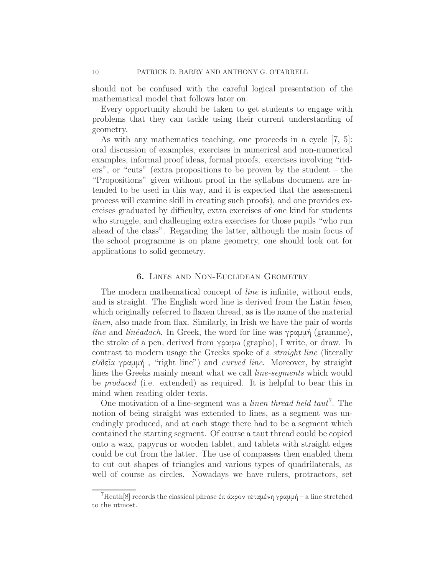should not be confused with the careful logical presentation of the mathematical model that follows later on.

Every opportunity should be taken to get students to engage with problems that they can tackle using their current understanding of geometry.

As with any mathematics teaching, one proceeds in a cycle [7, 5]: oral discussion of examples, exercises in numerical and non-numerical examples, informal proof ideas, formal proofs, exercises involving "riders", or "cuts" (extra propositions to be proven by the student – the "Propositions" given without proof in the syllabus document are intended to be used in this way, and it is expected that the assessment process will examine skill in creating such proofs), and one provides exercises graduated by difficulty, extra exercises of one kind for students who struggle, and challenging extra exercises for those pupils "who run ahead of the class". Regarding the latter, although the main focus of the school programme is on plane geometry, one should look out for applications to solid geometry.

#### 6. Lines and Non-Euclidean Geometry

The modern mathematical concept of *line* is infinite, without ends, and is straight. The English word line is derived from the Latin linea, which originally referred to flaxen thread, as is the name of the material linen, also made from flax. Similarly, in Irish we have the pair of words *line* and *linéadach*. In Greek, the word for line was γραμμή (gramme), the stroke of a pen, derived from γραφω (grapho), I write, or draw. In contrast to modern usage the Greeks spoke of a straight line (literally εὺθεῖα γραμμή, "right line") and *curved line*. Moreover, by straight lines the Greeks mainly meant what we call line-segments which would be produced (i.e. extended) as required. It is helpful to bear this in mind when reading older texts.

One motivation of a line-segment was a *linen thread held taut*<sup>7</sup>. The notion of being straight was extended to lines, as a segment was unendingly produced, and at each stage there had to be a segment which contained the starting segment. Of course a taut thread could be copied onto a wax, papyrus or wooden tablet, and tablets with straight edges could be cut from the latter. The use of compasses then enabled them to cut out shapes of triangles and various types of quadrilaterals, as well of course as circles. Nowadays we have rulers, protractors, set

 $7$ Heath[8] records the classical phrase έπ ἀχρον τεταμένη γραμμή – a line stretched to the utmost.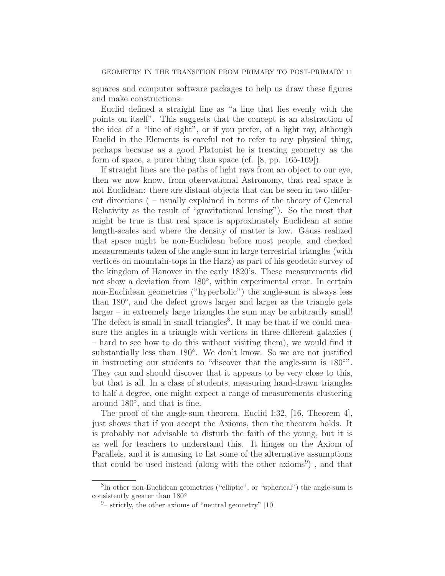squares and computer software packages to help us draw these figures and make constructions.

Euclid defined a straight line as "a line that lies evenly with the points on itself". This suggests that the concept is an abstraction of the idea of a "line of sight", or if you prefer, of a light ray, although Euclid in the Elements is careful not to refer to any physical thing, perhaps because as a good Platonist he is treating geometry as the form of space, a purer thing than space (cf. [8, pp. 165-169]).

If straight lines are the paths of light rays from an object to our eye, then we now know, from observational Astronomy, that real space is not Euclidean: there are distant objects that can be seen in two different directions ( – usually explained in terms of the theory of General Relativity as the result of "gravitational lensing"). So the most that might be true is that real space is approximately Euclidean at some length-scales and where the density of matter is low. Gauss realized that space might be non-Euclidean before most people, and checked measurements taken of the angle-sum in large terrestrial triangles (with vertices on mountain-tops in the Harz) as part of his geodetic survey of the kingdom of Hanover in the early 1820's. These measurements did not show a deviation from 180<sup>°</sup>, within experimental error. In certain non-Euclidean geometries ("hyperbolic") the angle-sum is always less than 180°, and the defect grows larger and larger as the triangle gets larger – in extremely large triangles the sum may be arbitrarily small! The defect is small in small triangles<sup>8</sup>. It may be that if we could measure the angles in a triangle with vertices in three different galaxies ( – hard to see how to do this without visiting them), we would find it substantially less than 180°. We don't know. So we are not justified in instructing our students to "discover that the angle-sum is  $180°$ ". They can and should discover that it appears to be very close to this, but that is all. In a class of students, measuring hand-drawn triangles to half a degree, one might expect a range of measurements clustering around 180◦ , and that is fine.

The proof of the angle-sum theorem, Euclid I:32, [16, Theorem 4], just shows that if you accept the Axioms, then the theorem holds. It is probably not advisable to disturb the faith of the young, but it is as well for teachers to understand this. It hinges on the Axiom of Parallels, and it is amusing to list some of the alternative assumptions that could be used instead (along with the other axioms<sup>9</sup>), and that

<sup>&</sup>lt;sup>8</sup>In other non-Euclidean geometries ("elliptic", or "spherical") the angle-sum is consistently greater than 180◦

 $9$ – strictly, the other axioms of "neutral geometry" [10]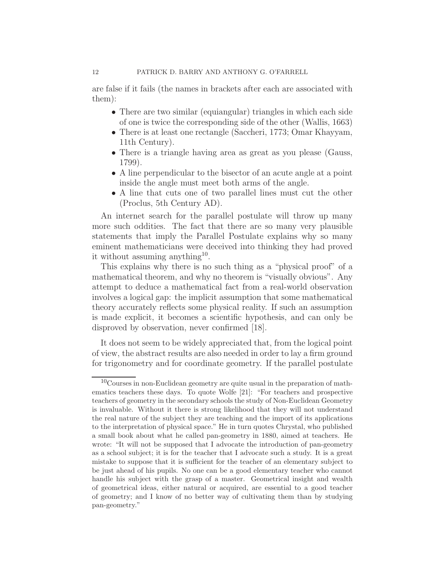are false if it fails (the names in brackets after each are associated with them):

- There are two similar (equiangular) triangles in which each side of one is twice the corresponding side of the other (Wallis, 1663)
- There is at least one rectangle (Saccheri, 1773; Omar Khayyam, 11th Century).
- There is a triangle having area as great as you please (Gauss, 1799).
- A line perpendicular to the bisector of an acute angle at a point inside the angle must meet both arms of the angle.
- A line that cuts one of two parallel lines must cut the other (Proclus, 5th Century AD).

An internet search for the parallel postulate will throw up many more such oddities. The fact that there are so many very plausible statements that imply the Parallel Postulate explains why so many eminent mathematicians were deceived into thinking they had proved it without assuming anything<sup>10</sup>.

This explains why there is no such thing as a "physical proof" of a mathematical theorem, and why no theorem is "visually obvious". Any attempt to deduce a mathematical fact from a real-world observation involves a logical gap: the implicit assumption that some mathematical theory accurately reflects some physical reality. If such an assumption is made explicit, it becomes a scientific hypothesis, and can only be disproved by observation, never confirmed [18].

It does not seem to be widely appreciated that, from the logical point of view, the abstract results are also needed in order to lay a firm ground for trigonometry and for coordinate geometry. If the parallel postulate

 $10<sup>10</sup>$ Courses in non-Euclidean geometry are quite usual in the preparation of mathematics teachers these days. To quote Wolfe [21]: "For teachers and prospective teachers of geometry in the secondary schools the study of Non-Euclidean Geometry is invaluable. Without it there is strong likelihood that they will not understand the real nature of the subject they are teaching and the import of its applications to the interpretation of physical space." He in turn quotes Chrystal, who published a small book about what he called pan-geometry in 1880, aimed at teachers. He wrote: "It will not be supposed that I advocate the introduction of pan-geometry as a school subject; it is for the teacher that I advocate such a study. It is a great mistake to suppose that it is sufficient for the teacher of an elementary subject to be just ahead of his pupils. No one can be a good elementary teacher who cannot handle his subject with the grasp of a master. Geometrical insight and wealth of geometrical ideas, either natural or acquired, are essential to a good teacher of geometry; and I know of no better way of cultivating them than by studying pan-geometry."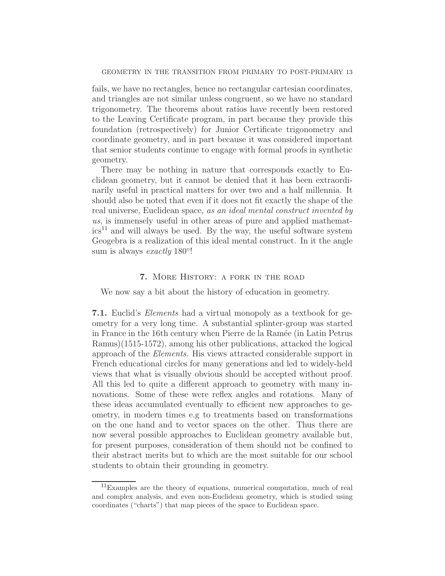fails, we have no rectangles, hence no rectangular cartesian coordinates, and triangles are not similar unless congruent, so we have no standard trigonometry. The theorems about ratios have recently been restored to the Leaving Certificate program, in part because they provide this foundation (retrospectively) for Junior Certificate trigonometry and coordinate geometry, and in part because it was considered important that senior students continue to engage with formal proofs in synthetic geometry.

There may be nothing in nature that corresponds exactly to Euclidean geometry, but it cannot be denied that it has been extraordinarily useful in practical matters for over two and a half millennia. It should also be noted that even if it does not fit exactly the shape of the real universe, Euclidean space, as an ideal mental construct invented by us, is immensely useful in other areas of pure and applied mathemat $ics<sup>11</sup>$  and will always be used. By the way, the useful software system Geogebra is a realization of this ideal mental construct. In it the angle sum is always exactly  $180^\circ!$ 

# 7. More History: a fork in the road

We now say a bit about the history of education in geometry.

7.1. Euclid's Elements had a virtual monopoly as a textbook for geometry for a very long time. A substantial splinter-group was started in France in the 16th century when Pierre de la Ramée (in Latin Petrus Ramus)(1515-1572), among his other publications, attacked the logical approach of the Elements. His views attracted considerable support in French educational circles for many generations and led to widely-held views that what is visually obvious should be accepted without proof. All this led to quite a different approach to geometry with many innovations. Some of these were reflex angles and rotations. Many of these ideas accumulated eventually to efficient new approaches to geometry, in modern times e.g to treatments based on transformations on the one hand and to vector spaces on the other. Thus there are now several possible approaches to Euclidean geometry available but, for present purposes, consideration of them should not be confined to their abstract merits but to which are the most suitable for our school students to obtain their grounding in geometry.

<sup>11</sup>Examples are the theory of equations, numerical computation, much of real and complex analysis, and even non-Euclidean geometry, which is studied using coordinates ("charts") that map pieces of the space to Euclidean space.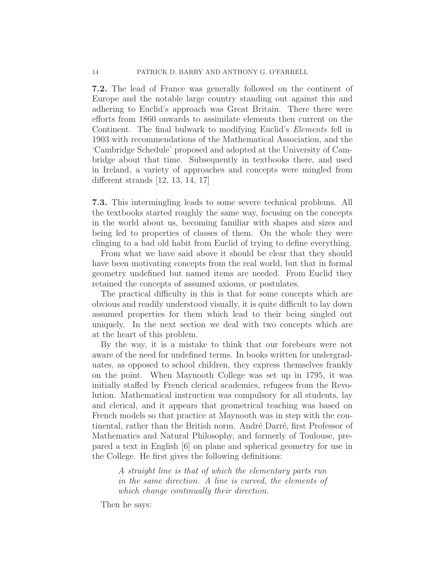7.2. The lead of France was generally followed on the continent of Europe and the notable large country standing out against this and adhering to Euclid's approach was Great Britain. There there were efforts from 1860 onwards to assimilate elements then current on the Continent. The final bulwark to modifying Euclid's Elements fell in 1903 with recommendations of the Mathematical Association, and the 'Cambridge Schedule' proposed and adopted at the University of Cambridge about that time. Subsequently in textbooks there, and used in Ireland, a variety of approaches and concepts were mingled from different strands [12, 13, 14, 17]

7.3. This intermingling leads to some severe technical problems. All the textbooks started roughly the same way, focusing on the concepts in the world about us, becoming familiar with shapes and sizes and being led to properties of classes of them. On the whole they were clinging to a bad old habit from Euclid of trying to define everything.

From what we have said above it should be clear that they should have been motivating concepts from the real world, but that in formal geometry undefined but named items are needed. From Euclid they retained the concepts of assumed axioms, or postulates.

The practical difficulty in this is that for some concepts which are obvious and readily understood visually, it is quite difficult to lay down assumed properties for them which lead to their being singled out uniquely. In the next section we deal with two concepts which are at the heart of this problem.

By the way, it is a mistake to think that our forebears were not aware of the need for undefined terms. In books written for undergraduates, as opposed to school children, they express themselves frankly on the point. When Maynooth College was set up in 1795, it was initially staffed by French clerical academics, refugees from the Revolution. Mathematical instruction was compulsory for all students, lay and clerical, and it appears that geometrical teaching was based on French models so that practice at Maynooth was in step with the continental, rather than the British norm. André Darré, first Professor of Mathematics and Natural Philosophy, and formerly of Toulouse, prepared a text in English [6] on plane and spherical geometry for use in the College. He first gives the following definitions:

> A straight line is that of which the elementary parts run in the same direction. A line is curved, the elements of which change continually their direction.

Then he says: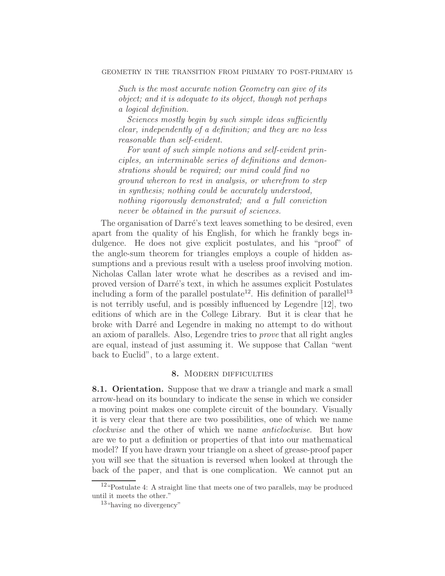Such is the most accurate notion Geometry can give of its object; and it is adequate to its object, though not perhaps a logical definition.

Sciences mostly begin by such simple ideas sufficiently clear, independently of a definition; and they are no less reasonable than self-evident.

For want of such simple notions and self-evident principles, an interminable series of definitions and demonstrations should be required; our mind could find no ground whereon to rest in analysis, or wherefrom to step in synthesis; nothing could be accurately understood, nothing rigorously demonstrated; and a full conviction never be obtained in the pursuit of sciences.

The organisation of Darré's text leaves something to be desired, even apart from the quality of his English, for which he frankly begs indulgence. He does not give explicit postulates, and his "proof" of the angle-sum theorem for triangles employs a couple of hidden assumptions and a previous result with a useless proof involving motion. Nicholas Callan later wrote what he describes as a revised and improved version of Darré's text, in which he assumes explicit Postulates including a form of the parallel postulate<sup>12</sup>. His definition of parallel<sup>13</sup> is not terribly useful, and is possibly influenced by Legendre [12], two editions of which are in the College Library. But it is clear that he broke with Darr´e and Legendre in making no attempt to do without an axiom of parallels. Also, Legendre tries to prove that all right angles are equal, instead of just assuming it. We suppose that Callan "went back to Euclid", to a large extent.

# 8. MODERN DIFFICULTIES

8.1. Orientation. Suppose that we draw a triangle and mark a small arrow-head on its boundary to indicate the sense in which we consider a moving point makes one complete circuit of the boundary. Visually it is very clear that there are two possibilities, one of which we name clockwise and the other of which we name anticlockwise. But how are we to put a definition or properties of that into our mathematical model? If you have drawn your triangle on a sheet of grease-proof paper you will see that the situation is reversed when looked at through the back of the paper, and that is one complication. We cannot put an

 $12\text{``Postulate 4: A straight line that meets one of two parallels, may be produced}$ until it meets the other."

<sup>13</sup>"having no divergency"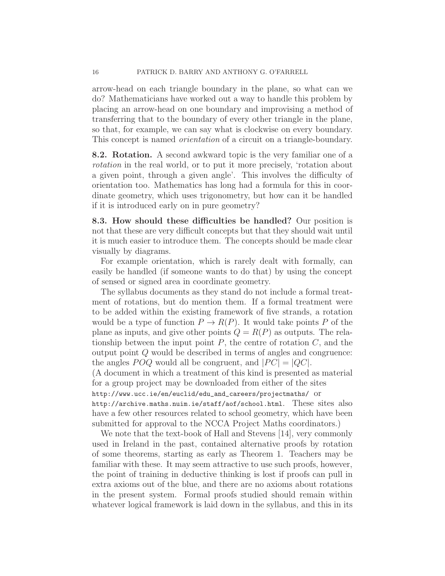arrow-head on each triangle boundary in the plane, so what can we do? Mathematicians have worked out a way to handle this problem by placing an arrow-head on one boundary and improvising a method of transferring that to the boundary of every other triangle in the plane, so that, for example, we can say what is clockwise on every boundary. This concept is named orientation of a circuit on a triangle-boundary.

8.2. Rotation. A second awkward topic is the very familiar one of a rotation in the real world, or to put it more precisely, 'rotation about a given point, through a given angle'. This involves the difficulty of orientation too. Mathematics has long had a formula for this in coordinate geometry, which uses trigonometry, but how can it be handled if it is introduced early on in pure geometry?

8.3. How should these difficulties be handled? Our position is not that these are very difficult concepts but that they should wait until it is much easier to introduce them. The concepts should be made clear visually by diagrams.

For example orientation, which is rarely dealt with formally, can easily be handled (if someone wants to do that) by using the concept of sensed or signed area in coordinate geometry.

The syllabus documents as they stand do not include a formal treatment of rotations, but do mention them. If a formal treatment were to be added within the existing framework of five strands, a rotation would be a type of function  $P \to R(P)$ . It would take points P of the plane as inputs, and give other points  $Q = R(P)$  as outputs. The relationship between the input point  $P$ , the centre of rotation  $C$ , and the output point Q would be described in terms of angles and congruence: the angles  $POQ$  would all be congruent, and  $|PC| = |QC|$ .

(A document in which a treatment of this kind is presented as material for a group project may be downloaded from either of the sites

http://www.ucc.ie/en/euclid/edu\_and\_careers/projectmaths/ or

http://archive.maths.nuim.ie/staff/aof/school.html. These sites also have a few other resources related to school geometry, which have been submitted for approval to the NCCA Project Maths coordinators.)

We note that the text-book of Hall and Stevens [14], very commonly used in Ireland in the past, contained alternative proofs by rotation of some theorems, starting as early as Theorem 1. Teachers may be familiar with these. It may seem attractive to use such proofs, however, the point of training in deductive thinking is lost if proofs can pull in extra axioms out of the blue, and there are no axioms about rotations in the present system. Formal proofs studied should remain within whatever logical framework is laid down in the syllabus, and this in its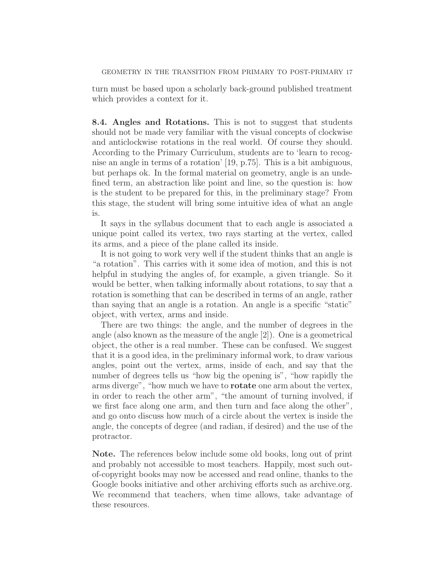turn must be based upon a scholarly back-ground published treatment which provides a context for it.

8.4. Angles and Rotations. This is not to suggest that students should not be made very familiar with the visual concepts of clockwise and anticlockwise rotations in the real world. Of course they should. According to the Primary Curriculum, students are to 'learn to recognise an angle in terms of a rotation' [19, p.75]. This is a bit ambiguous, but perhaps ok. In the formal material on geometry, angle is an undefined term, an abstraction like point and line, so the question is: how is the student to be prepared for this, in the preliminary stage? From this stage, the student will bring some intuitive idea of what an angle is.

It says in the syllabus document that to each angle is associated a unique point called its vertex, two rays starting at the vertex, called its arms, and a piece of the plane called its inside.

It is not going to work very well if the student thinks that an angle is "a rotation". This carries with it some idea of motion, and this is not helpful in studying the angles of, for example, a given triangle. So it would be better, when talking informally about rotations, to say that a rotation is something that can be described in terms of an angle, rather than saying that an angle is a rotation. An angle is a specific "static" object, with vertex, arms and inside.

There are two things: the angle, and the number of degrees in the angle (also known as the measure of the angle [2]). One is a geometrical object, the other is a real number. These can be confused. We suggest that it is a good idea, in the preliminary informal work, to draw various angles, point out the vertex, arms, inside of each, and say that the number of degrees tells us "how big the opening is", "how rapidly the arms diverge", "how much we have to rotate one arm about the vertex, in order to reach the other arm", "the amount of turning involved, if we first face along one arm, and then turn and face along the other", and go onto discuss how much of a circle about the vertex is inside the angle, the concepts of degree (and radian, if desired) and the use of the protractor.

Note. The references below include some old books, long out of print and probably not accessible to most teachers. Happily, most such outof-copyright books may now be accessed and read online, thanks to the Google books initiative and other archiving efforts such as archive.org. We recommend that teachers, when time allows, take advantage of these resources.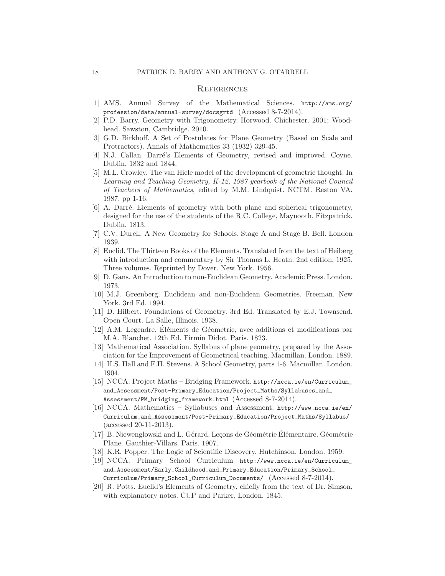#### **REFERENCES**

- [1] AMS. Annual Survey of the Mathematical Sciences. http://ams.org/ profession/data/annual-survey/docsgrtd (Accessed 8-7-2014).
- [2] P.D. Barry. Geometry with Trigonometry. Horwood. Chichester. 2001; Woodhead. Sawston, Cambridge. 2010.
- [3] G.D. Birkhoff. A Set of Postulates for Plane Geometry (Based on Scale and Protractors). Annals of Mathematics 33 (1932) 329-45.
- [4] N.J. Callan. Darré's Elements of Geometry, revised and improved. Coyne. Dublin. 1832 and 1844.
- [5] M.L. Crowley. The van Hiele model of the development of geometric thought. In Learning and Teaching Geometry, K-12, 1987 yearbook of the National Council of Teachers of Mathematics, edited by M.M. Lindquist. NCTM. Reston VA. 1987. pp 1-16.
- [6] A. Darré. Elements of geometry with both plane and spherical trigonometry, designed for the use of the students of the R.C. College, Maynooth. Fitzpatrick. Dublin. 1813.
- [7] C.V. Durell. A New Geometry for Schools. Stage A and Stage B. Bell. London 1939.
- [8] Euclid. The Thirteen Books of the Elements. Translated from the text of Heiberg with introduction and commentary by Sir Thomas L. Heath. 2nd edition, 1925. Three volumes. Reprinted by Dover. New York. 1956.
- [9] D. Gans. An Introduction to non-Euclidean Geometry. Academic Press. London. 1973.
- [10] M.J. Greenberg. Euclidean and non-Euclidean Geometries. Freeman. New York. 3rd Ed. 1994.
- [11] D. Hilbert. Foundations of Geometry. 3rd Ed. Translated by E.J. Townsend. Open Court. La Salle, Illinois. 1938.
- [12] A.M. Legendre. Éléments de Géometrie, avec additions et modifications par M.A. Blanchet. 12th Ed. Firmin Didot. Paris. 1823.
- [13] Mathematical Association. Syllabus of plane geometry, prepared by the Association for the Improvement of Geometrical teaching. Macmillan. London. 1889.
- [14] H.S. Hall and F.H. Stevens. A School Geometry, parts 1-6. Macmillan. London. 1904.
- [15] NCCA. Project Maths Bridging Framework. http://ncca.ie/en/Curriculum\_ and\_Assessment/Post-Primary\_Education/Project\_Maths/Syllabuses\_and\_ Assessment/PM\_bridging\_framework.html (Accessed 8-7-2014).
- [16] NCCA. Mathematics Syllabuses and Assessment. http://www.ncca.ie/en/ Curriculum\_and\_Assessment/Post-Primary\_Education/Project\_Maths/Syllabus/ (accessed 20-11-2013).
- [17] B. Niewenglowski and L. Gérard. Leçons de Géométrie Elémentaire. Géométrie Plane. Gauthier-Villars. Paris. 1907.
- [18] K.R. Popper. The Logic of Scientific Discovery. Hutchinson. London. 1959.
- [19] NCCA. Primary School Curriculum http://www.ncca.ie/en/Curriculum\_ and\_Assessment/Early\_Childhood\_and\_Primary\_Education/Primary\_School\_ Curriculum/Primary\_School\_Curriculum\_Documents/ (Accessed 8-7-2014).
- [20] R. Potts. Euclid's Elements of Geometry, chiefly from the text of Dr. Simson, with explanatory notes. CUP and Parker, London. 1845.